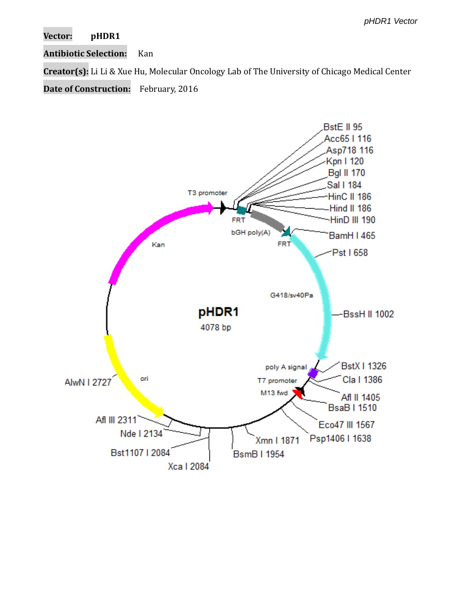**Vector: pHDR1**

**Antibiotic Selection:** Kan

**Creator(s):** Li Li & Xue Hu, Molecular Oncology Lab of The University of Chicago Medical Center

**Date of Construction:** February, 2016

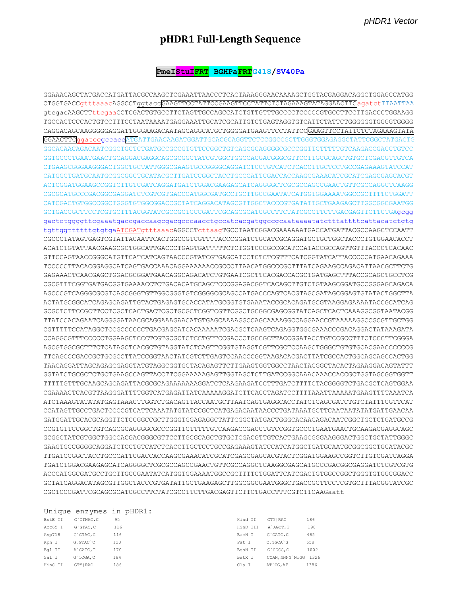## pHDR1 Full-Length Sequence

## PmeI<mark>StuIFRT</mark> BGHPa<mark>FRT</mark>G418/SV40Pa

GGAAACAGCTATGACCATGATTACGCCAAGCTCGAAATTAACCCTCACTAAAGGGAACAAAAGCTGGTACGAGGACAGGCTGGAGCCATGG CTGGTGACCgtttaaacAGGCCTggtaccGAAGTTCCTATTCCGAAGTTCCTATTCTCTAGAAAGTATAGGAACTTCagatctTTAATTAA CAGGACAGCAAGGGGGAGGATTGGGAAGACAATAGCAGGCATGCTGGGGATGAAGTTCCTATTCCGAAGTTCCTATTCTCTAGAAAGTATA GGAACTTCggatccgccaccATGATTGAACAAGATGGATTGCACGCAGGTTCTCCGGCCGCTTGGGTGGAGAGGCTATTCGGCTATGACTG CTGAAGCGGGAAGGGACTGGCTGCTATTGGGCGAAGTGCCGGGGCAGGATCTCCTGTCATCTCACCTTGCTCCCCGAGAAAGTATCCAT ACTCGGATGGAAGCCGGTCTTGTCGATCAGGATGATCTGGACGAAGAGCATCAGGGGCTCGCGCCAGCCGAACTGTTCGCCAGGCTCAAGG CGCGCATGCCCGACGGCGAGGATCTCGTCGTGACCCATGGCGATGCCTGCTTGCCGAATATCATGGTGGAAAATGGCCGCTTTTCTGGATT CATCGACTGTGGCCGGCTGGGTGTGGCGGACCGCTATCAGGACATAGCGTTGGCTACCCGTGATATTGCTGAAGAGCTTGGCGGCGAATGG GCTGACCGCTTCCTCGTGCTTTACGGTATCGCCGCTCCCGATTCGCAGCGCATCGCCTTCTATCGCCTTCTTGACGAGTTCTTCTGAgcgg gactctggggttcgaaatgaccgaccaagcgacgcccaacctgccatcacgatggccgcaataaaatatctttattttcattacatctgtg tgttggttttttgtgtgaATCGATgtttaaacAGGCCTcttaagTGCCTAATCGGACGAAAAAATGACCATGATTACGCCAAGCTCCAATT CGCCCTATAGTGAGTCGTATTACAATTCACTGGCCGTCGTTTTACCCGGATCTGCATCGCAGGATGCTGCTGCTACCCTGTGGAACACCT ACATCTGTATTAACGAAGCGCTGGCATTGACCCTGAGTGATTTTTCTCTGGTCCCGCCGCATCCATACCGCCAGTTGTTTACCCTCACAAC TCCCCCTTACACGGAGGCATCAGTGACCAAACAGGAAAAAACCGCCCTTAACATGGCCCGCTTTATCAGAAGCCAGACATTAACGCTTCTG GAGAAACTCAACGAGCTGGACGCGGATGAACAGGCAGACATCTGTGAATCGCTTCACGACCACGCTGATGAGCTTTACCGCAGCTGCCTCG CGCGTTTCGGTGATGACGGTGAAAACCTCTGACACATGCAGCTCCCGGAGACGGTCACAGCTTGTCTGTAAGCGGATGCCGGAGCAGACA AGCCCGTCAGGGGCGTCAGCGGGTGTTGGCGGGTGTGCGGGGCGCAGCCATGACCCAGTCACGTAGCGATAGCGGAGTGTATACTGGCTTA ACTATGCGGCATCAGAGCAGATTGTACTGAGAGTGCACCATATGCGGTGTGAAATACCGCACAGATGCGTAAGGAGAAAATACCGCATCAG TTATCCACAGAATCAGGGGATAACGCAGAAAGAACATGTGAGCAAAAGGCCAGAAAGGCCAGGAACCGTAAAAAGGCCGCGTTGCTGG CGTTTTTCCATAGGCTCCGCCCCCCTGACGAGCATCACAAAAATCGACGCTCAAGTCAGAGGTGGCGAAACCCGACAGGACTATAAAGATA CCAGGCGTTTCCCCCTGGAAGCTCCCTCGTGCGCTCTCCTGTTCCGACCCTGCCGCTTACCGGATACCTGTCCGCCTTTCTCCCTTCGGGA AGCGTGGCGCTTTCTCATAGCTCACGCTGTAGGTATCTCAGTTCGGTGTAGGTCGTTCGCTCCAAGCTGGGCTGTGTGCACGAACCCCCCG TTCAGCCCGACCGCTGCGCCTTATCCGGTAACTATCGTCTTGAGTCCAACCCGGTAAGACACGACTTATCGCCACTGGCAGCCACTGG TAACAGGATTAGCAGAGCGAGGTATGTAGGCGGTGCTACAGAGTTCTTGAAGTGGTGCCTAACTACGGCTACACTAGAAGGACAGTATTT TTTTTGTTTGCAAGCAGCAGATTACGCGCAGAAAAAAAGGATCTCAAGAAGATCCTTTGATCTTTTCTACGGGGTCTGACGCTCAGTGGAA CGAAAACTCACGTTAAGGGATTTTGGTCATGAGATTATCAAAAAGGATCTTCACCTAGATCCTTTTAAATTAAAAATGAAGTTTTAAATCA ATCTAAAGTATATATGAGTAAACTTGGTCTGACAGTTACCAATGCTTAATCAGTGAGGCACCTATCTCAGCGATCTGTCTATTTCGTTCAT CCATAGTTGCCTGACTCCCCGTCATTCAAATATGTATCCGCTCATGAGACAATAACCCTGATAAATGCTTCAATAATATATGATTGAACAA GATGGATTGCACGCAGGTTCTCCGGCCGCTTGGGTGGAGAGGCTATTCGGCTATGACTGGGCACAACAGACAATCGGCTGCTCTGATGCCG GCGGCTATCGTGGCTGGCCACGACGGCGTTCCTTGCGCAGCTGTGCTCGACGTTGTCACTGAAGCGGGAAGGGACTGGCTGCTATTGGGC GAAGTGCCGGGGCAGGATCTCCTGTCATCTCACCTTGCTCCTGCCGAGAAAGTATCCATCATGGCTGATGCGATGCGGCGGCTGCATACGC TGATCTGGACGAAGAGCATCAGGGGCTCGCGCCAGCCGAACTGTTCGCCAGGCTCAAGGCGAGCATGCCCGACGGCGAGGATCTCGTCGTG ACCCATGGCGATGCCTGCTTGCCGAATATCATGGTGGAAAATGGCCGCTTTTCTGGATTCATCGACTGTGGCCGGCTGGGTGTGGGGACC GCTATCAGGACATAGCGTTGGCTACCCGTGATATTGCTGAAGAGCTTGGCGGCGAATGGGCTGACCGCTTCCTCGTGCTTTACGGTATCGC CGCTCCCGATTCGCAGCGCATCGCCTTCTATCGCCTTCTTGACGAGTTCTTCTGACCTTTCGTCTTCAAGaatt

|         |               | Unique enzymes in phDRI: |          |                       |      |
|---------|---------------|--------------------------|----------|-----------------------|------|
| BstE II | G`GTNAC.C     | 95                       | Hind II  | GTY   RAC             | 186  |
| Acc65 I | G`GTAC.C      | 116                      | HinD III | A`AGCT.T              | 190  |
| Asp718  | G`GTAC, C     | 116                      | BamH I   | G`GATC.C              | 465  |
| Kpn I   | $G, GTAC$ $C$ | 120                      | Pst I    | C.TGCA G              | 658  |
| Bgl II  | A GATC, T     | 170                      | BssH II  | G`CGCG, C             | 1002 |
| Sal I   | G`TCGA.C      | 184                      | BstX I   | CCAN, NNNN `NTGG 1326 |      |
| HinC II | GTY   RAC     | 186                      | Cla I    | AT CG. AT             | 1386 |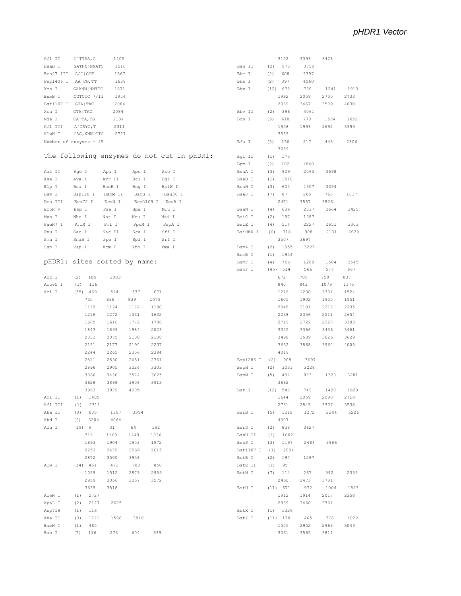| Afl II    | 1405<br>C`TTAA, G            |                                            |           | 3152        | 3393 | 3428 |      |
|-----------|------------------------------|--------------------------------------------|-----------|-------------|------|------|------|
| BsaB I    | GATNN   NNATC<br>1510        |                                            | Ban II    | (2)<br>970  | 3759 |      |      |
| Eco47 III | AGC   GCT<br>1567            |                                            | Bbe I     | 608         | 3397 |      |      |
|           |                              |                                            |           | (2)         |      |      |      |
| Psp1406 I | AA`CG, TT<br>1638            |                                            | Bbs I     | (2)<br>397  | 4060 |      |      |
| Xmn I     | GAANN   NNTTC<br>1871        |                                            | Bbv I     | (12) 678    | 720  | 1241 | 1913 |
| BsmB I    | CGTCTC 7/11<br>1954          |                                            |           | 1962        | 2059 | 2730 | 2733 |
| Bst1107 I | GTA   TAC<br>2084            |                                            |           | 2939        | 3467 | 3509 | 4030 |
| Xca I     | GTA   TAC<br>2084            |                                            | Bbv II    | (2)<br>396  | 4061 |      |      |
| Nde I     | CA`TA, TG<br>2134            |                                            | Bcn I     | 610<br>(9)  | 770  | 1504 | 1652 |
| Afl III   | A`CRYG, T<br>2311            |                                            |           | 1958        | 1993 | 2692 | 3399 |
| AlwN I    | CAG, NNN `CTG<br>2727        |                                            |           | 3559        |      |      |      |
|           |                              |                                            |           |             |      |      |      |
|           | Number of enzymes = $25$     |                                            | Bfa I     | 150<br>(5)  | 217  | 445  | 2806 |
|           |                              |                                            |           | 3059        |      |      |      |
|           |                              | The following enzymes do not cut in pHDR1: | Bgl II    | 170<br>(1)  |      |      |      |
|           |                              |                                            | Bpm I     | 102<br>(2)  | 1840 |      |      |
| Aat II    | Age I<br>Apa I               | Asc I<br>Apo I                             | BsaA I    | (3)<br>909  | 2065 | 3698 |      |
| Ase I     | Ava I<br>Avr II              | Bcl I<br>Bgl I                             | BsaB I    | (1)<br>1510 |      |      |      |
| Blp I     | Bsa I<br>BseR I              | Bsg I<br>BsiW I                            | BsaH I    | 605<br>(3)  | 1307 | 3394 |      |
|           |                              | BsrG I<br>Bsu36 I                          |           | (7)<br>87   | 265  | 768  | 1037 |
| Bsm I     | Bsp120 I<br>BspM II          |                                            | BsaJ I    |             |      |      |      |
| Dra III   | Eco72 I<br>ECON I            | Eco0109 I<br>EcoR I                        |           | 2471        | 3557 | 3826 |      |
| ECOR V    | Esp I<br>Fse I               | Hpa I<br>Mlu I                             | BsaW I    | (4)<br>636  | 2517 | 2664 | 3425 |
| Mun I     | Nhe I<br>Not I               | Nru I<br>Nsi I                             | BsiC I    | 197<br>(2)  | 1287 |      |      |
| PaeR7 I   | PflM I<br>Pml I              | PspA I<br>PpuM I                           | BsiE I    | 514<br>(4)  | 2227 | 2651 | 3303 |
| Pvu I     | Sac I<br>Sac II              | Sfi I<br>Sca I                             | BsiHKA I  | 718<br>(6)  | 908  | 2131 | 2629 |
| Sma I     | SnaB I<br>Spe I              | Srf I<br>Spl I                             |           | 3507        | 3697 |      |      |
|           | Xcm I                        | Xho I<br>Xma I                             | BsmA I    | 1955        | 3227 |      |      |
| Ssp I     | Vsp I                        |                                            |           | (2)         |      |      |      |
|           |                              |                                            | BsmB I    | 1954<br>(1) |      |      |      |
|           | pHDR1: sites sorted by name: |                                            | BsmF I    | 756<br>(4)  | 1288 | 1584 | 3545 |
|           |                              |                                            | BsoF I    | $(45)$ 514  | 566  | 577  | 667  |
| Acc I     | 185<br>2083<br>(2)           |                                            |           | 672         | 709  | 750  | 837  |
| Acc65 I   | 116<br>(1)                   |                                            |           | 840         | 843  | 1079 | 1175 |
| Aci I     | (55)<br>469<br>514           | 577<br>671                                 |           | 1216        | 1230 | 1331 | 1524 |
|           | 735<br>836                   | 839<br>1079                                |           | 1605        | 1902 | 1905 | 1951 |
|           |                              | 1174                                       |           | 2048        |      |      |      |
|           | 1119<br>1124                 | 1190                                       |           |             | 2101 | 2217 | 2235 |
|           | 1216<br>1272                 | 1331<br>1602                               |           | 2238        | 2356 | 2511 | 2654 |
|           | 1605<br>1616                 | 1772<br>1788                               |           | 2719        | 2722 | 2928 | 3303 |
|           | 1843<br>1899                 | 1984<br>2023                               |           | 3355        | 3366 | 3456 | 3461 |
|           | 2033<br>2075                 | 2100<br>2138                               |           | 3498        | 3539 | 3626 | 3629 |
|           | 2151<br>2177                 | 2194<br>2237                               |           | 3632        | 3868 | 3964 | 4005 |
|           | 2244<br>2265                 | 2356<br>2384                               |           | 4019        |      |      |      |
|           | 2511<br>2530                 | 2651<br>2761                               | Bsp1286 I | (2)<br>908  | 3697 |      |      |
|           |                              |                                            |           |             |      |      |      |
|           | 2896<br>2905                 | 3224<br>3303                               | BspH I    | 3031<br>(2) | 3228 |      |      |
|           | 3366<br>3460                 | 3524<br>3625                               | BspM I    | 492<br>(5)  | 873  | 1323 | 3281 |
|           | 3628<br>3868                 | 3908<br>3913                               |           | 3662        |      |      |      |
|           | 3963<br>3979                 | 4005                                       | Bsr I     | (12)<br>548 | 749  | 1490 | 1620 |
| Afl II    | 1405<br>(1)                  |                                            |           | 1644        | 2059 | 2090 | 2718 |
| Afl III   | (1)<br>2311                  |                                            |           | 2731        | 2845 | 3337 | 3538 |
| Aha II    | 605<br>1307<br>(3)           | 3394                                       | BsrB I    | $(5)$ 1218  | 1272 | 2244 | 3226 |
|           |                              |                                            |           |             |      |      |      |
| Ahd I     | 3204<br>4064<br>(2)          |                                            |           | 4007        |      |      |      |
| Alu I     | (19) 9<br>31                 | 64<br>192                                  | BsrD I    | $(2)$ 838   | 3627 |      |      |
|           | 711<br>1169                  | 1449<br>1836                               | BssH II   | 1002<br>(1) |      |      |      |
|           | 1893<br>1904                 | 1953<br>1972                               | BssS I    | 1197<br>(3) | 2484 | 3986 |      |
|           | 2253<br>2479                 | 2569<br>2615                               | Bst1107 I | (1)<br>2084 |      |      |      |
|           | 2872<br>3500                 | 3958                                       | BstB I    | 197<br>(2)  | 1287 |      |      |
|           |                              |                                            |           |             |      |      |      |
| Alw I     | (14) 461<br>472              | 783<br>850                                 | BstE II   | 95<br>(1)   |      |      |      |
|           | 1029<br>1512                 | 2873<br>2959                               | BstN I    | $(7)$ 114   | 267  | 992  | 2339 |
|           | 2959<br>3056                 | 3057<br>3572                               |           | 2460        | 2473 | 3781 |      |
|           | 3639<br>3818                 |                                            | BstU I    | (11) 671    | 972  | 1004 | 1843 |
| AlwN I    | 2727<br>(1)                  |                                            |           | 1912        | 1914 | 2017 | 2358 |
| ApaL I    | 2625<br>2127<br>(2)          |                                            |           | 2939        | 3460 | 3761 |      |
|           |                              |                                            |           | $(1)$ 1326  |      |      |      |
| Asp718    | (1)<br>116                   |                                            | BstX I    |             |      |      |      |
| Ava II    | (3)<br>1121<br>1598          | 3910                                       | BstY I    | (11) 170    | 465  | 776  | 1022 |
|           |                              |                                            |           |             |      |      |      |
| BamH I    | 465<br>(1)                   |                                            |           | 1505        | 2952 | 2963 | 3049 |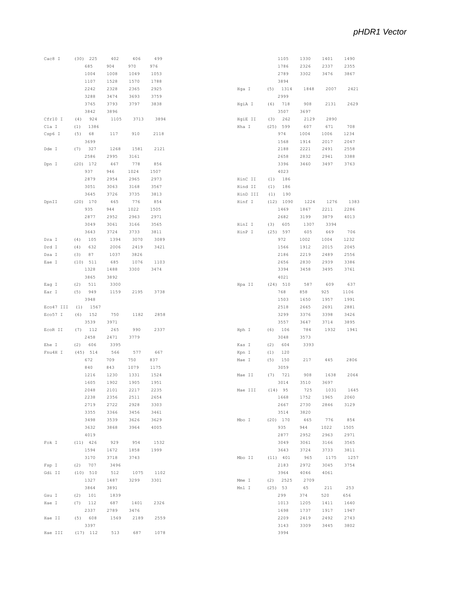| Cac8 I    | $(30)$ 225  | 402  | 406  | 499  |          |      | 1105       | 1330 | 1401 | 1490 |
|-----------|-------------|------|------|------|----------|------|------------|------|------|------|
|           | 685         | 904  | 970  | 976  |          |      | 1786       | 2326 | 2337 | 2355 |
|           | 1004        | 1008 | 1049 | 1053 |          |      | 2789       | 3302 | 3476 | 3867 |
|           | 1107        | 1528 | 1570 | 1788 |          |      | 3894       |      |      |      |
|           | 2242        | 2328 | 2365 | 2925 |          |      | $(5)$ 1314 | 1848 | 2007 | 2421 |
|           |             |      |      |      | Hga I    |      |            |      |      |      |
|           | 3288        | 3474 | 3693 | 3759 |          |      | 2999       |      |      |      |
|           | 3765        | 3793 | 3797 | 3838 | HgiA I   | (6)  | 718        | 908  | 2131 | 2629 |
|           | 3842        | 3896 |      |      |          |      | 3507       | 3697 |      |      |
| Cfr10 I   | (4)<br>924  | 1105 | 3713 | 3894 | HgiE II  | (3)  | 262        | 2129 | 2890 |      |
| Cla I     | (1)<br>1386 |      |      |      | Hha I    | (25) | 599        | 607  | 671  | 708  |
| Csp6 I    | (5)<br>68   | 117  | 910  | 2118 |          |      | 974        | 1004 | 1006 | 1234 |
|           | 3699        |      |      |      |          |      | 1568       | 1914 | 2017 | 2047 |
| Dde I     | (7)<br>327  | 1268 | 1581 | 2121 |          |      | 2188       | 2221 | 2491 | 2558 |
|           | 2586        | 2995 | 3161 |      |          |      | 2658       | 2832 | 2941 | 3388 |
|           | $(20)$ 172  |      |      |      |          |      |            |      |      |      |
| Dpn I     |             | 467  | 778  | 856  |          |      | 3396       | 3460 | 3497 | 3763 |
|           | 937         | 946  | 1024 | 1507 |          |      | 4023       |      |      |      |
|           | 2879        | 2954 | 2965 | 2973 | HinC II  | (1)  | 186        |      |      |      |
|           | 3051        | 3063 | 3168 | 3567 | Hind II  | (1)  | 186        |      |      |      |
|           | 3645        | 3726 | 3735 | 3813 | HinD III | (1)  | 190        |      |      |      |
| DpnII     | $(20)$ 170  | 465  | 776  | 854  | Hinf I   |      | (12) 1090  | 1224 | 1276 | 1383 |
|           | 935         | 944  | 1022 | 1505 |          |      | 1469       | 1867 | 2211 | 2286 |
|           | 2877        | 2952 | 2963 | 2971 |          |      | 2682       | 3199 | 3879 | 4013 |
|           | 3049        | 3061 | 3166 | 3565 | HinI I   | (3)  | 605        | 1307 | 3394 |      |
|           |             |      |      |      |          |      |            |      |      |      |
|           | 3643        | 3724 | 3733 | 3811 | HinP I   | (25) | 597        | 605  | 669  | 706  |
| Dra I     | (4)<br>105  | 1394 | 3070 | 3089 |          |      | 972        | 1002 | 1004 | 1232 |
| Drd I     | (4)<br>632  | 2006 | 2419 | 3421 |          |      | 1566       | 1912 | 2015 | 2045 |
| Dsa I     | (3)<br>87   | 1037 | 3826 |      |          |      | 2186       | 2219 | 2489 | 2556 |
| Eae I     | $(10)$ 511  | 685  | 1076 | 1103 |          |      | 2656       | 2830 | 2939 | 3386 |
|           | 1328        | 1488 | 3300 | 3474 |          |      | 3394       | 3458 | 3495 | 3761 |
|           | 3865        | 3892 |      |      |          |      | 4021       |      |      |      |
| Eag I     | (2)<br>511  | 3300 |      |      | Hpa II   |      | (24) 510   | 587  | 609  | 637  |
| Ear I     | (5)<br>949  | 1159 | 2195 | 3738 |          |      | 768        | 858  | 925  | 1106 |
|           | 3948        |      |      |      |          |      | 1503       | 1650 | 1957 | 1991 |
|           |             |      |      |      |          |      |            |      |      |      |
| Eco47 III | (1)<br>1567 |      |      |      |          |      | 2518       | 2665 | 2691 | 2881 |
| Eco57 I   | (6)<br>152  | 750  | 1182 | 2858 |          |      | 3299       | 3376 | 3398 | 3426 |
|           | 3539        | 3971 |      |      |          |      | 3557       | 3647 | 3714 | 3895 |
| ECOR II   | (7)<br>112  | 265  | 990  | 2337 | Hph I    | (6)  | 106        | 784  | 1932 | 1941 |
|           | 2458        | 2471 | 3779 |      |          |      | 3048       | 3573 |      |      |
| Ehe I     | 606<br>(2)  | 3395 |      |      | Kas I    | (2)  | 604        | 3393 |      |      |
| Fnu4H I   | $(45)$ 514  | 566  | 577  | 667  | Kpn I    | (1)  | 120        |      |      |      |
|           | 672         | 709  | 750  | 837  | Mae I    | (5)  | 150        | 217  | 445  | 2806 |
|           | 840         | 843  | 1079 | 1175 |          |      | 3059       |      |      |      |
|           |             |      |      |      |          |      |            |      |      |      |
|           | 1216        | 1230 | 1331 | 1524 | Mae II   | (7)  | 721        | 908  | 1638 | 2064 |
|           | 1605        | 1902 | 1905 | 1951 |          |      | 3014       | 3510 | 3697 |      |
|           | 2048        | 2101 | 2217 | 2235 | Mae III  |      | $(14)$ 95  | 725  | 1031 | 1645 |
|           | 2238        | 2356 | 2511 | 2654 |          |      | 1668       | 1752 | 1965 | 2060 |
|           | 2719        | 2722 | 2928 | 3303 |          |      | 2667       | 2730 | 2846 | 3129 |
|           | 3355        | 3366 | 3456 | 3461 |          |      | 3514       | 3820 |      |      |
|           | 3498        | 3539 | 3626 | 3629 | Mbo I    |      | $(20)$ 170 | 465  | 776  | 854  |
|           | 3632        | 3868 | 3964 | 4005 |          |      | 935        | 944  | 1022 | 1505 |
|           | 4019        |      |      |      |          |      | 2877       | 2952 |      | 2971 |
|           |             |      |      |      |          |      |            |      | 2963 |      |
| Fok I     | $(11)$ 426  | 929  | 954  | 1532 |          |      | 3049       | 3061 | 3166 | 3565 |
|           | 1594        | 1672 | 1858 | 1999 |          |      | 3643       | 3724 | 3733 | 3811 |
|           | 3170        | 3718 | 3743 |      | Mbo II   |      | (11) 401   | 965  | 1175 | 1257 |
| Fsp I     | $(2)$ 707   | 3496 |      |      |          |      | 2183       | 2972 | 3045 | 3754 |
| Gdi II    | (10) 510    | 512  | 1075 | 1102 |          |      | 3964       | 4046 | 4061 |      |
|           | 1327        | 1487 | 3299 | 3301 | Mme I    |      | $(2)$ 2525 | 2709 |      |      |
|           | 3864        | 3891 |      |      | Mnl I    |      | $(25)$ 53  | 65   | 211  | 253  |
| Gsu I     | (2) 101     | 1839 |      |      |          |      | 299        | 374  | 520  | 656  |
|           |             |      |      |      |          |      |            |      |      |      |
| Hae I     | $(7)$ 112   | 687  | 1401 | 2326 |          |      | 1013       | 1205 | 1411 | 1640 |
|           | 2337        | 2789 | 3476 |      |          |      | 1698       | 1737 | 1917 | 1947 |
| Hae II    | (5) 608     | 1569 | 2189 | 2559 |          |      | 2209       | 2419 | 2492 | 2743 |
|           | 3397        |      |      |      |          |      | 3143       | 3309 | 3445 | 3802 |
| Hae III   | $(17)$ 112  | 513  | 687  | 1078 |          |      | 3994       |      |      |      |
|           |             |      |      |      |          |      |            |      |      |      |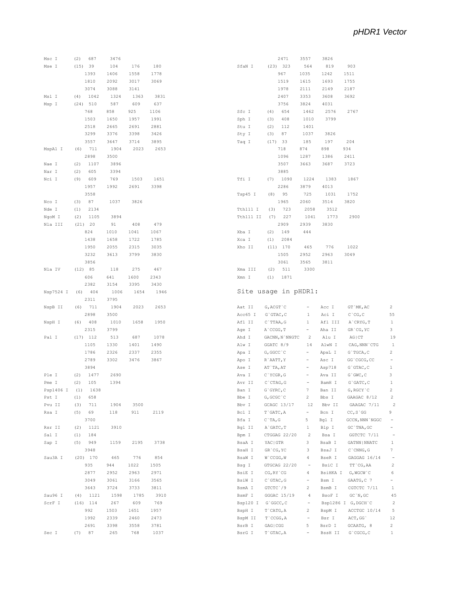$\overline{2}$ 55  $\,$   $\,$  $\mathbf{3}$  $19$  $\mathbf 1$  $\begin{array}{c} 2 \\ - \end{array}$  $\,$   $\,$   $\,$  $\overline{\mathbf{3}}$  $\,$   $\,$   $\,$  $\overline{2}$  $\overline{2}$  $\overline{\phantom{a}}$  $9$  $\frac{1}{2} \left( \frac{1}{2} \right) = \frac{1}{2} \left( \frac{1}{2} \right)$ 

 $\mathbf{1}$  $\,$  7  $\,$  $\sim$  $\overline{c}$  $\sqrt{6}$  $\begin{array}{c} - \\ 1 \end{array}$ 45  $\overline{2}$  $5\overline{)}$  $12$ 

| Msc I     | (2) 687                           | 3476 |                |      |
|-----------|-----------------------------------|------|----------------|------|
| Mse I     | (15)<br>39                        | 104  | 176            | 180  |
|           | 1393                              | 1406 | 1558           | 1778 |
|           | 1810                              | 2092 | 3017           | 3069 |
|           |                                   |      |                |      |
|           | 3074                              | 3088 | 3141           |      |
| Msl I     | $(4)$ 1042                        | 1324 | 1363           | 3831 |
| Msp I     | (24) 510                          | 587  | 609            | 637  |
|           | 768                               | 858  | 925            | 1106 |
|           | 1503                              | 1650 | 1957           | 1991 |
|           |                                   |      |                |      |
|           | 2518                              | 2665 | 2691           | 2881 |
|           | 3299                              | 3376 | 3398           | 3426 |
|           | 3557                              | 3647 | 3714           | 3895 |
|           | MspA1 I (6) 711                   | 1904 | 2023 2653      |      |
|           | 2898                              | 3500 |                |      |
|           |                                   |      |                |      |
| Nae I     | (2)<br>1107                       | 3896 |                |      |
| Nar I     | (2)<br>605                        | 3394 |                |      |
| Nci I     | (9)<br>609                        | 769  | 1503           | 1651 |
|           | 1957                              | 1992 | 2691           | 3398 |
|           | 3558                              |      |                |      |
|           |                                   |      |                |      |
| Nco I     | (3)<br>87                         | 1037 | 3826           |      |
| Nde I     | (1)<br>2134                       |      |                |      |
| NgoM I    | $(2)$ 1105                        | 3894 |                |      |
| Nla III   | (21) 20                           | 91   | 408            | 479  |
|           |                                   |      |                |      |
|           | 824                               | 1010 | 1041           | 1067 |
|           | 1438                              | 1658 | 1722           | 1785 |
|           | 1950                              | 2055 | 2315           | 3035 |
|           | 3232                              | 3613 | 3799           | 3830 |
|           | 3856                              |      |                |      |
|           |                                   |      |                |      |
| Nla IV    | (12) 85                           | 118  | 275            | 467  |
|           | 606                               | 641  | 1600           | 2343 |
|           | 2382                              | 3154 | 3395           | 3430 |
| Nsp7524 I | $(6)$ 404                         | 1006 | 1654           | 1946 |
|           | 2311                              | 3795 |                |      |
|           |                                   |      |                |      |
|           |                                   |      |                |      |
| NspB II   | $(6)$ 711                         |      | 1904 2023      | 2653 |
|           | 2898                              | 3500 |                |      |
| NspH I    | $(6)$ 408                         | 1010 | 1658           | 1950 |
|           | 2315                              | 3799 |                |      |
|           |                                   |      |                |      |
| Pal I     | $(17)$ 112                        | 513  | 687            | 1078 |
|           | 1105                              | 1330 | 1401           | 1490 |
|           | 1786                              | 2326 | 2337           | 2355 |
|           | 2789                              | 3302 | 3476           | 3867 |
|           | 3894                              |      |                |      |
|           |                                   |      |                |      |
| Ple I     | $(2)$ 1477                        | 2690 |                |      |
| Pme I     | (2)<br>105                        | 1394 |                |      |
| Psp1406 I | $(1)$ 1638                        |      |                |      |
| Pst I     | $(1)$ 658                         |      |                |      |
| Pvu II    | (3)<br>711                        | 1904 | 3500           |      |
| Rsa I     | (5)<br>69                         | 118  | 911            | 2119 |
|           |                                   |      |                |      |
|           | 3700                              |      |                |      |
| Rsr II    | (2)<br>1121                       | 3910 |                |      |
| Sal I     | $\left( \mathbb{1}\right)$<br>184 |      |                |      |
| Sap I     | $(5)$ 949                         |      | 1159 2195 3738 |      |
|           | 3948                              |      |                |      |
|           |                                   |      |                |      |
| Sau3A I   | $(20)$ 170                        | 465  | 776            | 854  |
|           | 935                               | 944  | 1022           | 1505 |
|           | 2877                              | 2952 | 2963           | 2971 |
|           | 3049                              | 3061 | 3166           | 3565 |
|           | 3643                              | 3724 | 3733           | 3811 |
| Sau96 I   |                                   | 1598 | 1785           | 3910 |
|           | $(4)$ 1121                        |      |                |      |
| ScrF I    | (16)<br>114                       | 267  | 609            | 769  |
|           | 992                               | 1503 | 1651           | 1957 |
|           | 1992                              | 2339 | 2460           | 2473 |
|           | 2691                              | 3398 | 3558           | 3781 |

|                  | 2471                   | 3557                         | 3826              |                         |                         |
|------------------|------------------------|------------------------------|-------------------|-------------------------|-------------------------|
| SfaN I           | $(23)$ 323             | 564                          | 819               | 903                     |                         |
|                  | 967                    | 1035                         | 1242              | 1511                    |                         |
|                  | 1519                   | 1615                         | 1693              | 1755                    |                         |
|                  | 1978                   | 2111                         | 2149              | 2187                    |                         |
|                  | 2407                   | 3353                         | 3608              | 3692                    |                         |
|                  | 3756                   | 3824                         | 4031              |                         |                         |
| Sfc I            | $(4)$ 654              | 1462                         | 2576              | 2767                    |                         |
| Sph I            | $(3)$ 408              | 1010                         | 3799              |                         |                         |
| Stu I            | 112<br>(2)             | 1401                         |                   |                         |                         |
| Sty I            | (3)<br>87              | 1037                         | 3826              |                         |                         |
| Taq I            | (17) 33                | 185                          | 197               | 204                     |                         |
|                  | 718                    | 874                          | 898               | 934                     |                         |
|                  | 1096                   | 1287                         | 1386              | 2411                    |                         |
|                  | 3507                   |                              | 3663 3687         | 3723                    |                         |
|                  | 3885                   |                              |                   |                         |                         |
| Tfi I            | $(7)$ 1090             | 1224                         | 1383              | 1867                    |                         |
|                  | 2286                   |                              | 3879 4013         |                         |                         |
| Tsp45 I          | $(8)$ 95               | 725                          | 1031              | 1752                    |                         |
|                  | 1965                   | 2060                         | 3514              | 3820                    |                         |
|                  | Tth111 I (3) 723       | 2058                         | 3512              |                         |                         |
| Tth111 II        | $(7)$ 227              | 1041                         | 1773 2900         |                         |                         |
|                  | 2909                   | 2939                         | 3830              |                         |                         |
| Xba I            | $(2)$ 149              | 444                          |                   |                         |                         |
| Xca I            | $(1)$ 2084             |                              |                   |                         |                         |
| Xho II           | $(11)$ 170             | 465                          | 776               | 1022                    |                         |
|                  | 1505                   | 2952                         | 2963 3049         |                         |                         |
|                  | 3061                   | 3565                         | 3811              |                         |                         |
| Xma III          | (2)<br>511             | 3300                         |                   |                         |                         |
| Xmn I            | $(1)$ 1871             |                              |                   |                         |                         |
|                  |                        |                              |                   |                         |                         |
|                  | Site usage in pHDR1:   |                              |                   |                         |                         |
|                  |                        |                              |                   |                         |                         |
| Aat II           | G, ACGT`C              | $\sim$                       | Acc I             | GT`MK, AC               | $\overline{2}$          |
| Acc65 I          | $G$ $GTAC$ , $C$       | $\mathbf{1}$                 | Aci I             | C`CG, C                 | 55                      |
| Afl II           | C`TTAA, G              | $1 \quad$                    | Afl III           | A`CRYG, T               |                         |
|                  |                        |                              |                   |                         | $\mathbf{1}$            |
| Age I            | A`CCGG, T              | $\frac{1}{2}$                | Aha II            | GR`CG, YC               | 3                       |
| Ahd I            | GACNN, N`NNGTC         | $\overline{2}$               | Alu I             | AG CT                   | 19                      |
| Alw I            | GGATC 8/9              |                              | 14 AlwN I         | CAG, NNN`CTG            | <sup>1</sup>            |
| Apa I            | G, GGCC C              | $\equiv$                     | ApaL I            | G`TGCA, C               | $\overline{2}$          |
| Apo I            | R`AATT, Y              |                              | Asc I             | GG `CGCG, CC            | $\equiv$                |
| Ase I            | AT `TA, AT             |                              | Asp718            | $G$ $GTAC$ , $C$        | $\mathbf{1}$            |
| Ava I            | C`YCGR, G              | - 1                          | Ava II            | $G$ $GWC$ , $C$         | 3                       |
| Avr II           | C`CTAG, G              | $\overline{\phantom{a}}$     | BamH I            | G`GATC, C               | 1                       |
| Ban I            | $G$ $GYRC$ , $C$       | 7                            | Ban II            | $G$ , RGCY $^{\circ}$ C | $\overline{\mathbf{c}}$ |
| Bbe I            | G, GCGC `C             | $\mathbf{2}$                 | Bbs I             | GAAGAC 8/12             | $\overline{c}$          |
| Bbv I            | GCAGC 13/17            | 12                           | Bbv II            | GAAGAC 7/11             | $\overline{2}$          |
| Bcl I            | T`GATC, A              |                              | Bcn I             | $CC, S$ GG              | 9                       |
| Bfa I            | $C$ TA, G              | 5                            | Bgl I             | GCCN, NNN `NGGC         |                         |
| Bgl II           | A`GATC, T              | 1                            | Blp I             | GC `TNA, GC             |                         |
| Bpm I            | CTGGAG 22/20           | $\overline{2}$               | Bsa I             | GGTCTC 7/11             |                         |
| BsaA I           | YAC   GTR              | 3                            | BsaB I            | GATNN   NNATC           | $\mathbf{1}$            |
| BsaH I           | GR'CG, YC              | 3                            | BsaJ I            | C `CNNG, G              | 7                       |
| BsaW I           | W`CCGG, W              | 4                            | BseR I            | GAGGAG 16/14            |                         |
| Bsq I            | GTGCAG 22/20           | $\overline{\phantom{a}}$     | BsiC I            | TT CG, AA               | 2                       |
| BsiE I           | CG, RY CG              | 4                            | BsiHKA I          | G, WGCW `C              | 6                       |
| BsiW I           | $C$ GTAC, G            |                              | Bsm I             | GAATG, C 7              | ۳.                      |
| BsmA I           | GTCTC 79               | $\overline{2}$               | BsmB I            | CGTCTC 7/11             | $\mathbf{1}$            |
| BsmF I           | GGGAC 15/19            | $\overline{4}$               | BsoF I            | GC'N, GC                | 45                      |
| Bsp120 I         | G`GGCC, C              |                              |                   | Bsp1286 I G, DGCH `C    | $\overline{c}$          |
| BspH I           | T`CATG, A              | 2                            | BspM I            | ACCTGC 10/14            | 5                       |
| BspM II          | $T$ $CCGG, A$          | $\qquad \qquad \blacksquare$ | Bsr I             | ACT, GG`                | 12                      |
| BsrB I<br>BsrG I | GAG   CGG<br>T`GTAC, A | 5                            | BsrD I<br>BssH II | GCAATG, 8<br>G`CGCG, C  | 2<br>1                  |